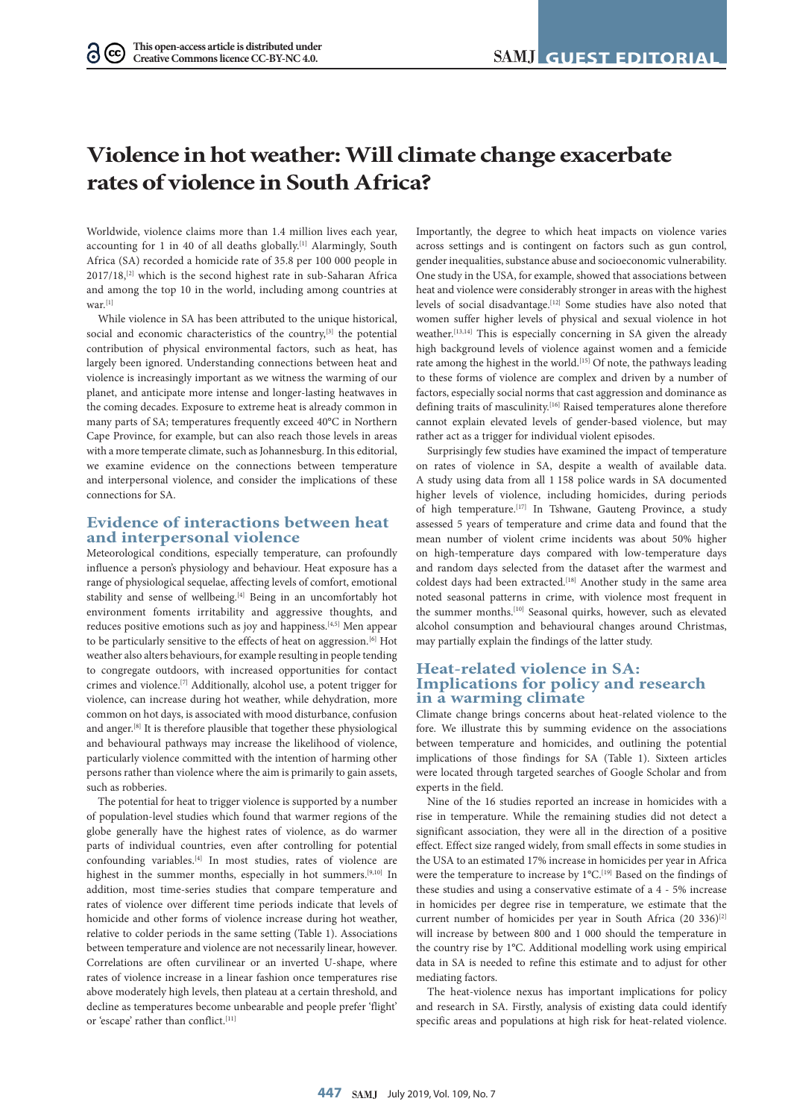# **Violence in hot weather: Will climate change exacerbate rates of violence in South Africa?**

Worldwide, violence claims more than 1.4 million lives each year, accounting for 1 in 40 of all deaths globally.<sup>[1]</sup> Alarmingly, South Africa (SA) recorded a homicide rate of 35.8 per 100 000 people in 2017/18,[2] which is the second highest rate in sub-Saharan Africa and among the top 10 in the world, including among countries at  $\frac{1}{1}$ 

While violence in SA has been attributed to the unique historical, social and economic characteristics of the country,<sup>[3]</sup> the potential contribution of physical environmental factors, such as heat, has largely been ignored. Understanding connections between heat and violence is increasingly important as we witness the warming of our planet, and anticipate more intense and longer-lasting heatwaves in the coming decades. Exposure to extreme heat is already common in many parts of SA; temperatures frequently exceed 40°C in Northern Cape Province, for example, but can also reach those levels in areas with a more temperate climate, such as Johannesburg. In this editorial, we examine evidence on the connections between temperature and interpersonal violence, and consider the implications of these connections for SA.

#### **Evidence of interactions between heat and interpersonal violence**

Meteorological conditions, especially temperature, can profoundly influence a person's physiology and behaviour. Heat exposure has a range of physiological sequelae, affecting levels of comfort, emotional stability and sense of wellbeing.<sup>[4]</sup> Being in an uncomfortably hot environment foments irritability and aggressive thoughts, and reduces positive emotions such as joy and happiness.[4,5] Men appear to be particularly sensitive to the effects of heat on aggression.<sup>[6]</sup> Hot weather also alters behaviours, for example resulting in people tending to congregate outdoors, with increased opportunities for contact crimes and violence.[7] Additionally, alcohol use, a potent trigger for violence, can increase during hot weather, while dehydration, more common on hot days, is associated with mood disturbance, confusion and anger.<sup>[8]</sup> It is therefore plausible that together these physiological and behavioural pathways may increase the likelihood of violence, particularly violence committed with the intention of harming other persons rather than violence where the aim is primarily to gain assets, such as robberies.

The potential for heat to trigger violence is supported by a number of population-level studies which found that warmer regions of the globe generally have the highest rates of violence, as do warmer parts of individual countries, even after controlling for potential confounding variables.[4] In most studies, rates of violence are highest in the summer months, especially in hot summers.<sup>[9,10]</sup> In addition, most time-series studies that compare temperature and rates of violence over different time periods indicate that levels of homicide and other forms of violence increase during hot weather, relative to colder periods in the same setting (Table 1). Associations between temperature and violence are not necessarily linear, however. Correlations are often curvilinear or an inverted U-shape, where rates of violence increase in a linear fashion once temperatures rise above moderately high levels, then plateau at a certain threshold, and decline as temperatures become unbearable and people prefer 'flight' or 'escape' rather than conflict.<sup>[11]</sup>

Importantly, the degree to which heat impacts on violence varies across settings and is contingent on factors such as gun control, gender inequalities, substance abuse and socioeconomic vulnerability. One study in the USA, for example, showed that associations between heat and violence were considerably stronger in areas with the highest levels of social disadvantage.[12] Some studies have also noted that women suffer higher levels of physical and sexual violence in hot weather.<sup>[13,14]</sup> This is especially concerning in SA given the already high background levels of violence against women and a femicide rate among the highest in the world.<sup>[15]</sup> Of note, the pathways leading to these forms of violence are complex and driven by a number of factors, especially social norms that cast aggression and dominance as defining traits of masculinity.<sup>[16]</sup> Raised temperatures alone therefore cannot explain elevated levels of gender-based violence, but may rather act as a trigger for individual violent episodes.

Surprisingly few studies have examined the impact of temperature on rates of violence in SA, despite a wealth of available data. A study using data from all 1 158 police wards in SA documented higher levels of violence, including homicides, during periods of high temperature.<sup>[17]</sup> In Tshwane, Gauteng Province, a study assessed 5 years of temperature and crime data and found that the mean number of violent crime incidents was about 50% higher on high-temperature days compared with low-temperature days and random days selected from the dataset after the warmest and coldest days had been extracted.<sup>[18]</sup> Another study in the same area noted seasonal patterns in crime, with violence most frequent in the summer months.<sup>[10]</sup> Seasonal quirks, however, such as elevated alcohol consumption and behavioural changes around Christmas, may partially explain the findings of the latter study.

### **Heat-related violence in SA: Implications for policy and research in a warming climate**

Climate change brings concerns about heat-related violence to the fore. We illustrate this by summing evidence on the associations between temperature and homicides, and outlining the potential implications of those findings for SA (Table 1). Sixteen articles were located through targeted searches of Google Scholar and from experts in the field.

Nine of the 16 studies reported an increase in homicides with a rise in temperature. While the remaining studies did not detect a significant association, they were all in the direction of a positive effect. Effect size ranged widely, from small effects in some studies in the USA to an estimated 17% increase in homicides per year in Africa were the temperature to increase by 1°C.<sup>[19]</sup> Based on the findings of these studies and using a conservative estimate of a 4 - 5% increase in homicides per degree rise in temperature, we estimate that the current number of homicides per year in South Africa (20 336)<sup>[2]</sup> will increase by between 800 and 1 000 should the temperature in the country rise by 1°C. Additional modelling work using empirical data in SA is needed to refine this estimate and to adjust for other mediating factors.

The heat-violence nexus has important implications for policy and research in SA. Firstly, analysis of existing data could identify specific areas and populations at high risk for heat-related violence.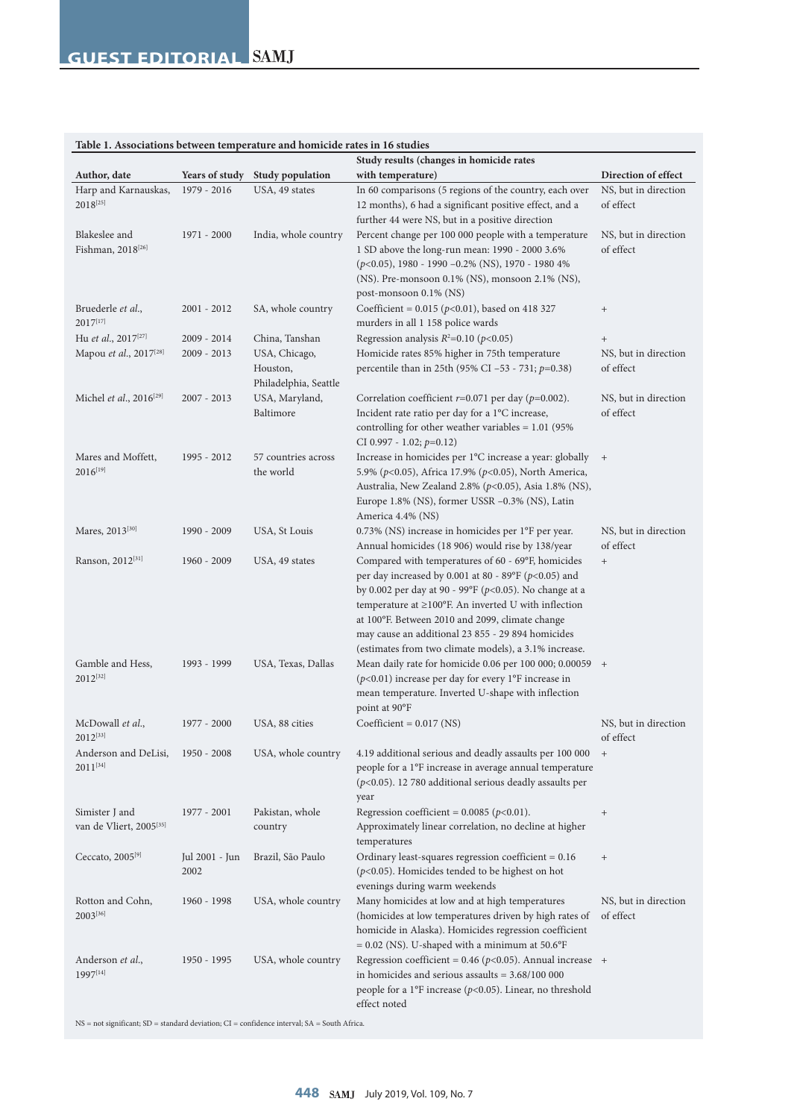| Tuble 1, Associations between temperature and homieral rates in To statics<br>Study results (changes in homicide rates |                        |                                                    |                                                                                                                                                                                                                                                                                                                                                                                                             |                                   |
|------------------------------------------------------------------------------------------------------------------------|------------------------|----------------------------------------------------|-------------------------------------------------------------------------------------------------------------------------------------------------------------------------------------------------------------------------------------------------------------------------------------------------------------------------------------------------------------------------------------------------------------|-----------------------------------|
| Author, date                                                                                                           | Years of study         | <b>Study population</b>                            | with temperature)                                                                                                                                                                                                                                                                                                                                                                                           | Direction of effect               |
| Harp and Karnauskas,<br>$2018^{[25]}$                                                                                  | 1979 - 2016            | USA, 49 states                                     | In 60 comparisons (5 regions of the country, each over<br>12 months), 6 had a significant positive effect, and a<br>further 44 were NS, but in a positive direction                                                                                                                                                                                                                                         | NS, but in direction<br>of effect |
| Blakeslee and<br>Fishman, 2018 <sup>[26]</sup>                                                                         | 1971 - 2000            | India, whole country                               | Percent change per 100 000 people with a temperature<br>1 SD above the long-run mean: 1990 - 2000 3.6%<br>$(p<0.05)$ , 1980 - 1990 - 0.2% (NS), 1970 - 1980 4%<br>(NS). Pre-monsoon 0.1% (NS), monsoon 2.1% (NS),<br>post-monsoon 0.1% (NS)                                                                                                                                                                 | NS, but in direction<br>of effect |
| Bruederle et al.,<br>2017[17]                                                                                          | $2001 - 2012$          | SA, whole country                                  | Coefficient = $0.015$ ( $p<0.01$ ), based on 418 327<br>murders in all 1 158 police wards                                                                                                                                                                                                                                                                                                                   | $^+$                              |
| Hu et al., 2017 <sup>[27]</sup>                                                                                        | $2009 - 2014$          | China, Tanshan                                     | Regression analysis $R^2$ =0.10 (p<0.05)                                                                                                                                                                                                                                                                                                                                                                    | $^{+}$                            |
| Mapou et al., 2017 <sup>[28]</sup>                                                                                     | $2009 - 2013$          | USA, Chicago,<br>Houston,<br>Philadelphia, Seattle | Homicide rates 85% higher in 75th temperature<br>percentile than in 25th (95% CI -53 - 731; $p=0.38$ )                                                                                                                                                                                                                                                                                                      | NS, but in direction<br>of effect |
| Michel et al., 2016 <sup>[29]</sup>                                                                                    | $2007 - 2013$          | USA, Maryland,<br>Baltimore                        | Correlation coefficient $r=0.071$ per day ( $p=0.002$ ).<br>Incident rate ratio per day for a 1°C increase,<br>controlling for other weather variables $= 1.01$ (95%<br>CI 0.997 - 1.02; $p=0.12$ )                                                                                                                                                                                                         | NS, but in direction<br>of effect |
| Mares and Moffett,<br>$2016^{[19]}$                                                                                    | 1995 - 2012            | 57 countries across<br>the world                   | Increase in homicides per 1°C increase a year: globally +<br>5.9% (p<0.05), Africa 17.9% (p<0.05), North America,<br>Australia, New Zealand 2.8% (p<0.05), Asia 1.8% (NS),<br>Europe 1.8% (NS), former USSR -0.3% (NS), Latin<br>America 4.4% (NS)                                                                                                                                                          |                                   |
| Mares, 2013 <sup>[30]</sup>                                                                                            | 1990 - 2009            | USA, St Louis                                      | 0.73% (NS) increase in homicides per 1°F per year.<br>Annual homicides (18 906) would rise by 138/year                                                                                                                                                                                                                                                                                                      | NS, but in direction<br>of effect |
| Ranson, 2012 <sup>[31]</sup>                                                                                           | 1960 - 2009            | USA, 49 states                                     | Compared with temperatures of 60 - 69°F, homicides<br>per day increased by 0.001 at 80 - 89°F ( $p$ <0.05) and<br>by 0.002 per day at 90 - 99°F ( $p$ <0.05). No change at a<br>temperature at $\geq$ 100°F. An inverted U with inflection<br>at 100°F. Between 2010 and 2099, climate change<br>may cause an additional 23 855 - 29 894 homicides<br>(estimates from two climate models), a 3.1% increase. | $^+$                              |
| Gamble and Hess,<br>$2012^{[32]}$                                                                                      | 1993 - 1999            | USA, Texas, Dallas                                 | Mean daily rate for homicide 0.06 per 100 000; 0.00059 +<br>( $p$ <0.01) increase per day for every 1°F increase in<br>mean temperature. Inverted U-shape with inflection<br>point at 90°F                                                                                                                                                                                                                  |                                   |
| McDowall et al.,<br>$2012^{[33]}$                                                                                      | 1977 - 2000            | USA, 88 cities                                     | Coefficient = $0.017$ (NS)                                                                                                                                                                                                                                                                                                                                                                                  | NS, but in direction<br>of effect |
| Anderson and DeLisi,<br>$2011^{[34]}$                                                                                  | 1950 - 2008            | USA, whole country                                 | 4.19 additional serious and deadly assaults per 100 000 +<br>people for a 1°F increase in average annual temperature<br>$(p<0.05)$ . 12 780 additional serious deadly assaults per<br>year                                                                                                                                                                                                                  |                                   |
| Simister J and<br>van de Vliert, 2005 <sup>[35]</sup>                                                                  | 1977 - 2001            | Pakistan, whole<br>country                         | Regression coefficient = $0.0085$ ( $p<0.01$ ).<br>Approximately linear correlation, no decline at higher<br>temperatures                                                                                                                                                                                                                                                                                   | $\begin{array}{c} + \end{array}$  |
| Ceccato, $2005^{[9]}$                                                                                                  | Jul 2001 - Jun<br>2002 | Brazil, São Paulo                                  | Ordinary least-squares regression coefficient $= 0.16$<br>$(p<0.05)$ . Homicides tended to be highest on hot<br>evenings during warm weekends                                                                                                                                                                                                                                                               | $^+$                              |
| Rotton and Cohn,<br>2003[36]                                                                                           | 1960 - 1998            | USA, whole country                                 | Many homicides at low and at high temperatures<br>(homicides at low temperatures driven by high rates of<br>homicide in Alaska). Homicides regression coefficient<br>$= 0.02$ (NS). U-shaped with a minimum at 50.6°F                                                                                                                                                                                       | NS, but in direction<br>of effect |
| Anderson et al.,<br>1997[14]                                                                                           | 1950 - 1995            | USA, whole country                                 | Regression coefficient = 0.46 ( $p$ <0.05). Annual increase +<br>in homicides and serious assaults = $3.68/100000$<br>people for a 1°F increase ( $p$ <0.05). Linear, no threshold<br>effect noted                                                                                                                                                                                                          |                                   |

## **Table 1. Associations between temperature and homicide rates in 16 studies**

 $\mathrm{NS}$  = not significant;  $\mathrm{SD}$  = standard deviation;  $\mathrm{CI}$  = confidence interval;  $\mathrm{SA}$  = South Africa.